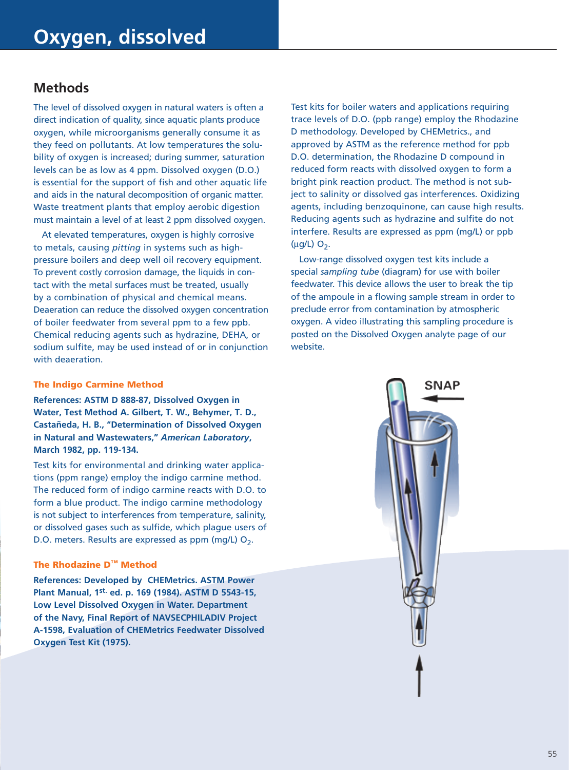## **Methods**

The level of dissolved oxygen in natural waters is often a direct indication of quality, since aquatic plants produce oxygen, while microorganisms generally consume it as they feed on pollutants. At low temperatures the solubility of oxygen is increased; during summer, saturation levels can be as low as 4 ppm. Dissolved oxygen (D.O.) is essential for the support of fish and other aquatic life and aids in the natural decomposition of organic matter. Waste treatment plants that employ aerobic digestion must maintain a level of at least 2 ppm dissolved oxygen.

At elevated temperatures, oxygen is highly corrosive to metals, causing *pitting* in systems such as highpressure boilers and deep well oil recovery equipment. To prevent costly corrosion damage, the liquids in contact with the metal surfaces must be treated, usually by a combination of physical and chemical means. Deaeration can reduce the dissolved oxygen concentration of boiler feedwater from several ppm to a few ppb. Chemical reducing agents such as hydrazine, DEHA, or sodium sulfite, may be used instead of or in conjunction with deaeration.

## The Indigo Carmine Method

**References: ASTM D 888-87, Dissolved Oxygen in Water, Test Method A. Gilbert, T. W., Behymer, T. D., Castañeda, H. B., "Determination of Dissolved Oxygen in Natural and Wastewaters,"** *American Laboratory***, March 1982, pp. 119-134.** 

Test kits for environmental and drinking water applications (ppm range) employ the indigo carmine method. The reduced form of indigo carmine reacts with D.O. to form a blue product. The indigo carmine methodology is not subject to interferences from temperature, salinity, or dissolved gases such as sulfide, which plague users of D.O. meters. Results are expressed as ppm (mg/L)  $O_2$ .

### The Rhodazine D™ Method

**References: Developed by CHEMetrics. ASTM Power Plant Manual, 1st. ed. p. 169 (1984). ASTM D 5543-15, Low Level Dissolved Oxygen in Water. Department of the Navy, Final Report of NAVSECPHILADIV Project A-1598, Evaluation of CHEMetrics Feedwater Dissolved Oxygen Test Kit (1975).**

Test kits for boiler waters and applications requiring trace levels of D.O. (ppb range) employ the Rhodazine D methodology. Developed by CHEMetrics., and approved by ASTM as the reference method for ppb D.O. determination, the Rhodazine D compound in reduced form reacts with dissolved oxygen to form a bright pink reaction product. The method is not subject to salinity or dissolved gas interferences. Oxidizing agents, including benzoquinone, can cause high results. Reducing agents such as hydrazine and sulfite do not interfere. Results are expressed as ppm (mg/L) or ppb  $(\mu$ g/L $)$  O<sub>2</sub>.

Low-range dissolved oxygen test kits include a special *sampling tube* (diagram) for use with boiler feedwater. This device allows the user to break the tip of the ampoule in a flowing sample stream in order to preclude error from contamination by atmospheric oxygen. A video illustrating this sampling procedure is posted on the Dissolved Oxygen analyte page of our website.

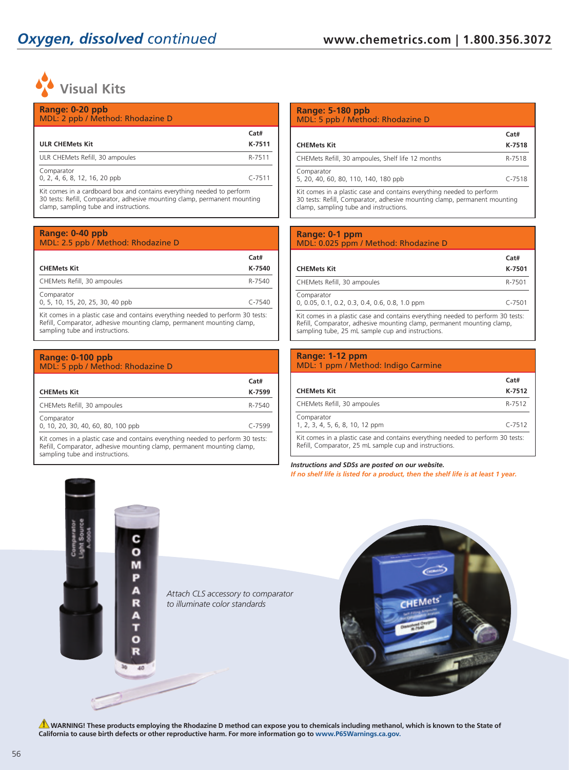

| Range: 0-20 ppb<br>MDL: 2 ppb / Method: Rhodazine D                                                                                                                                                                                                                                               |                |
|---------------------------------------------------------------------------------------------------------------------------------------------------------------------------------------------------------------------------------------------------------------------------------------------------|----------------|
| <b>ULR CHEMets Kit</b>                                                                                                                                                                                                                                                                            | Cat#<br>K-7511 |
| ULR CHEMets Refill, 30 ampoules                                                                                                                                                                                                                                                                   | R-7511         |
| Comparator<br>0, 2, 4, 6, 8, 12, 16, 20 ppb                                                                                                                                                                                                                                                       | $C - 7511$     |
| Kit comes in a cardboard box and contains everything needed to perform<br>$\mathcal{D} \cap \mathcal{D}$ , and $\mathcal{D} \cap \mathcal{D}$ , and $\mathcal{D} \cap \mathcal{D}$ , and $\mathcal{D} \cap \mathcal{D}$ , and $\mathcal{D} \cap \mathcal{D}$ , and $\mathcal{D} \cap \mathcal{D}$ |                |

30 tests: Refill, Comparator, adhesive mounting clamp, permanent mounting clamp, sampling tube and instructions.

#### **Range: 0-40 ppb** MDL: 2.5 ppb / Method: Rhodazine D

| <b>CHEMets Kit</b>                                                                                                                                        | Cat#<br>K-7540 |
|-----------------------------------------------------------------------------------------------------------------------------------------------------------|----------------|
| CHEMets Refill, 30 ampoules                                                                                                                               | R-7540         |
| Comparator<br>0, 5, 10, 15, 20, 25, 30, 40 ppb                                                                                                            | $C - 7540$     |
| Kit comes in a plastic case and contains everything needed to perform 30 tests:<br>Refill, Comparator, adhesive mounting clamp, permanent mounting clamp, |                |

sampling tube and instructions.

| Range: 0-100 ppb<br>MDL: 5 ppb / Method: Rhodazine D                                                                                                      |                |
|-----------------------------------------------------------------------------------------------------------------------------------------------------------|----------------|
| <b>CHEMets Kit</b>                                                                                                                                        | Cat#<br>K-7599 |
| CHEMets Refill, 30 ampoules                                                                                                                               | R-7540         |
| Comparator<br>0, 10, 20, 30, 40, 60, 80, 100 ppb                                                                                                          | $C - 7599$     |
| Kit comes in a plastic case and contains everything needed to perform 30 tests:<br>Refill, Comparator, adhesive mounting clamp, permanent mounting clamp, |                |

### sampling tube and instructions.

## **Range: 5-180 ppb** MDL: 5 ppb / Method: Rhodazine D **Cat# CHEMets Kit K-7518** CHEMets Refill, 30 ampoules, Shelf life 12 months R-7518 Comparator 5, 20, 40, 60, 80, 110, 140, 180 ppb C-7518

Kit comes in a plastic case and contains everything needed to perform 30 tests: Refill, Comparator, adhesive mounting clamp, permanent mounting clamp, sampling tube and instructions.

#### **Range: 0-1 ppm** MDL: 0.025 ppm / Method: Rhodazine D

| <b>CHEMets Kit</b>                                                                                                                                                                                             | Cat#<br>K-7501 |
|----------------------------------------------------------------------------------------------------------------------------------------------------------------------------------------------------------------|----------------|
| CHEMets Refill, 30 ampoules                                                                                                                                                                                    | R-7501         |
| Comparator<br>0, 0.05, 0.1, 0.2, 0.3, 0.4, 0.6, 0.8, 1.0 ppm                                                                                                                                                   | $C - 7501$     |
| Kit comes in a plastic case and contains everything needed to perform 30 tests:<br>Refill, Comparator, adhesive mounting clamp, permanent mounting clamp,<br>sampling tube, 25 mL sample cup and instructions. |                |

#### **Range: 1-12 ppm** MDL: 1 ppm / Method: Indigo Carmine

|                                                                                                                                           | Cat#       |
|-------------------------------------------------------------------------------------------------------------------------------------------|------------|
| <b>CHEMets Kit</b>                                                                                                                        | K-7512     |
| CHEMets Refill, 30 ampoules                                                                                                               | R-7512     |
| Comparator<br>1, 2, 3, 4, 5, 6, 8, 10, 12 ppm                                                                                             | $C - 7512$ |
| Kit comes in a plastic case and contains everything needed to perform 30 tests:<br>Refill, Comparator, 25 mL sample cup and instructions. |            |

*Instructions and SDSs are posted on our website. If no shelf life is listed for a product, then the shelf life is at least 1 year.*



**A** WARNING! These products employing the Rhodazine D method can expose you to chemicals including methanol, which is known to the State of **California to cause birth defects or other reproductive harm. For more information go to www.P65Warnings.ca.gov.**